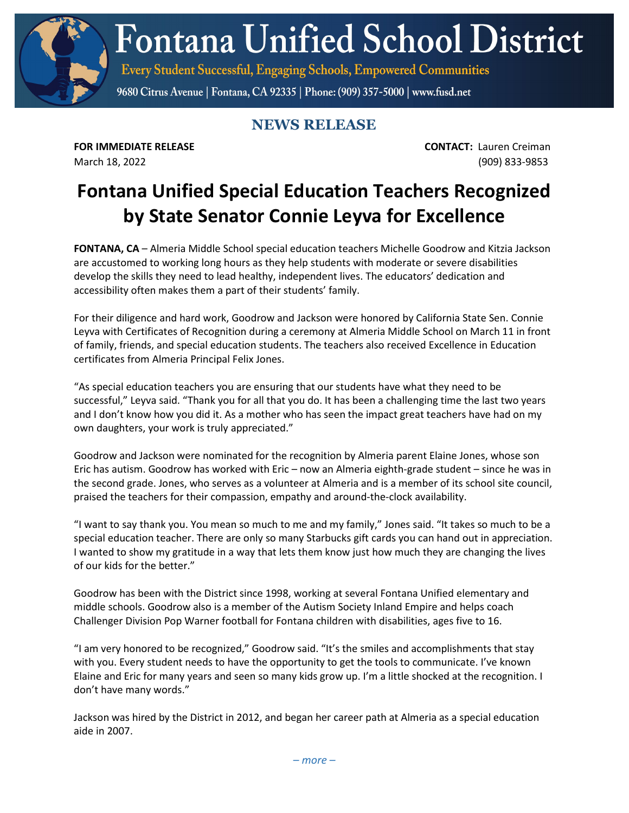**Fontana Unified School District** 

Every Student Successful, Engaging Schools, Empowered Communities

9680 Citrus Avenue | Fontana, CA 92335 | Phone: (909) 357-5000 | www.fusd.net

## **NEWS RELEASE**

**FOR IMMEDIATE RELEASE CONTACT:** Lauren Creiman March 18, 2022 (909) 833-9853

## **Fontana Unified Special Education Teachers Recognized by State Senator Connie Leyva for Excellence**

**FONTANA, CA** – Almeria Middle School special education teachers Michelle Goodrow and Kitzia Jackson are accustomed to working long hours as they help students with moderate or severe disabilities develop the skills they need to lead healthy, independent lives. The educators' dedication and accessibility often makes them a part of their students' family.

For their diligence and hard work, Goodrow and Jackson were honored by California State Sen. Connie Leyva with Certificates of Recognition during a ceremony at Almeria Middle School on March 11 in front of family, friends, and special education students. The teachers also received Excellence in Education certificates from Almeria Principal Felix Jones.

"As special education teachers you are ensuring that our students have what they need to be successful," Leyva said. "Thank you for all that you do. It has been a challenging time the last two years and I don't know how you did it. As a mother who has seen the impact great teachers have had on my own daughters, your work is truly appreciated."

Goodrow and Jackson were nominated for the recognition by Almeria parent Elaine Jones, whose son Eric has autism. Goodrow has worked with Eric – now an Almeria eighth-grade student – since he was in the second grade. Jones, who serves as a volunteer at Almeria and is a member of its school site council, praised the teachers for their compassion, empathy and around-the-clock availability.

"I want to say thank you. You mean so much to me and my family," Jones said. "It takes so much to be a special education teacher. There are only so many Starbucks gift cards you can hand out in appreciation. I wanted to show my gratitude in a way that lets them know just how much they are changing the lives of our kids for the better."

Goodrow has been with the District since 1998, working at several Fontana Unified elementary and middle schools. Goodrow also is a member of the Autism Society Inland Empire and helps coach Challenger Division Pop Warner football for Fontana children with disabilities, ages five to 16.

"I am very honored to be recognized," Goodrow said. "It's the smiles and accomplishments that stay with you. Every student needs to have the opportunity to get the tools to communicate. I've known Elaine and Eric for many years and seen so many kids grow up. I'm a little shocked at the recognition. I don't have many words."

Jackson was hired by the District in 2012, and began her career path at Almeria as a special education aide in 2007.